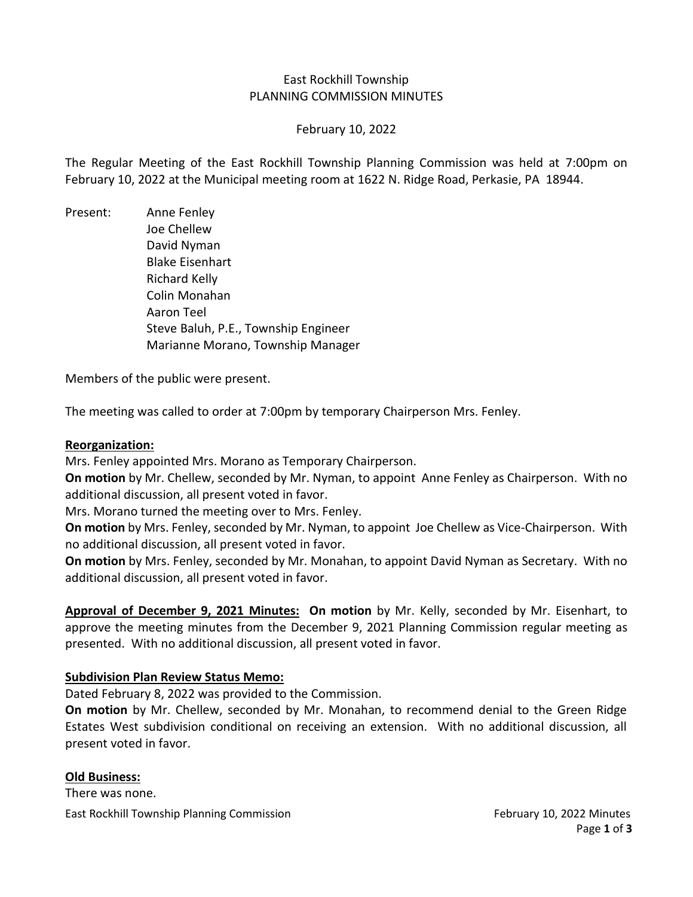### East Rockhill Township PLANNING COMMISSION MINUTES

### February 10, 2022

The Regular Meeting of the East Rockhill Township Planning Commission was held at 7:00pm on February 10, 2022 at the Municipal meeting room at 1622 N. Ridge Road, Perkasie, PA 18944.

Present: Anne Fenley Joe Chellew David Nyman Blake Eisenhart Richard Kelly Colin Monahan Aaron Teel Steve Baluh, P.E., Township Engineer Marianne Morano, Township Manager

Members of the public were present.

The meeting was called to order at 7:00pm by temporary Chairperson Mrs. Fenley.

### **Reorganization:**

Mrs. Fenley appointed Mrs. Morano as Temporary Chairperson.

**On motion** by Mr. Chellew, seconded by Mr. Nyman, to appoint Anne Fenley as Chairperson. With no additional discussion, all present voted in favor.

Mrs. Morano turned the meeting over to Mrs. Fenley.

**On motion** by Mrs. Fenley, seconded by Mr. Nyman, to appoint Joe Chellew as Vice-Chairperson. With no additional discussion, all present voted in favor.

**On motion** by Mrs. Fenley, seconded by Mr. Monahan, to appoint David Nyman as Secretary. With no additional discussion, all present voted in favor.

**Approval of December 9, 2021 Minutes: On motion** by Mr. Kelly, seconded by Mr. Eisenhart, to approve the meeting minutes from the December 9, 2021 Planning Commission regular meeting as presented. With no additional discussion, all present voted in favor.

## **Subdivision Plan Review Status Memo:**

Dated February 8, 2022 was provided to the Commission.

**On motion** by Mr. Chellew, seconded by Mr. Monahan, to recommend denial to the Green Ridge Estates West subdivision conditional on receiving an extension. With no additional discussion, all present voted in favor.

### **Old Business:**

East Rockhill Township Planning Commission February 10, 2022 Minutes There was none.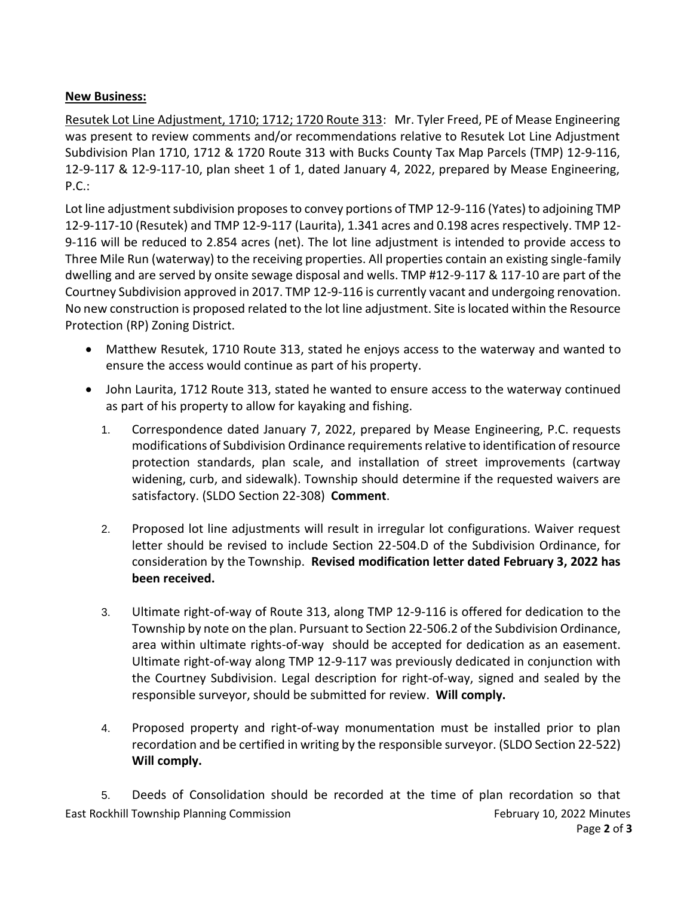# **New Business:**

Resutek Lot Line Adjustment, 1710; 1712; 1720 Route 313: Mr. Tyler Freed, PE of Mease Engineering was present to review comments and/or recommendations relative to Resutek Lot Line Adjustment Subdivision Plan 1710, 1712 & 1720 Route 313 with Bucks County Tax Map Parcels (TMP) 12-9-116, 12-9-117 & 12-9-117-10, plan sheet 1 of 1, dated January 4, 2022, prepared by Mease Engineering, P.C.:

Lot line adjustment subdivision proposes to convey portions of TMP 12-9-116 (Yates) to adjoining TMP 12-9-117-10 (Resutek) and TMP 12-9-117 (Laurita), 1.341 acres and 0.198 acres respectively. TMP 12- 9-116 will be reduced to 2.854 acres (net). The lot line adjustment is intended to provide access to Three Mile Run (waterway) to the receiving properties. All properties contain an existing single-family dwelling and are served by onsite sewage disposal and wells. TMP #12-9-117 & 117-10 are part of the Courtney Subdivision approved in 2017. TMP 12-9-116 is currently vacant and undergoing renovation. No new construction is proposed related to the lot line adjustment. Site is located within the Resource Protection (RP) Zoning District.

- Matthew Resutek, 1710 Route 313, stated he enjoys access to the waterway and wanted to ensure the access would continue as part of his property.
- John Laurita, 1712 Route 313, stated he wanted to ensure access to the waterway continued as part of his property to allow for kayaking and fishing.
	- 1. Correspondence dated January 7, 2022, prepared by Mease Engineering, P.C. requests modifications of Subdivision Ordinance requirements relative to identification of resource protection standards, plan scale, and installation of street improvements (cartway widening, curb, and sidewalk). Township should determine if the requested waivers are satisfactory. (SLDO Section 22-308) **Comment**.
	- 2. Proposed lot line adjustments will result in irregular lot configurations. Waiver request letter should be revised to include Section 22-504.D of the Subdivision Ordinance, for consideration by the Township. **Revised modification letter dated February 3, 2022 has been received.**
	- 3. Ultimate right-of-way of Route 313, along TMP 12-9-116 is offered for dedication to the Township by note on the plan. Pursuant to Section 22-506.2 of the Subdivision Ordinance, area within ultimate rights-of-way should be accepted for dedication as an easement. Ultimate right-of-way along TMP 12-9-117 was previously dedicated in conjunction with the Courtney Subdivision. Legal description for right-of-way, signed and sealed by the responsible surveyor, should be submitted for review. **Will comply.**
	- 4. Proposed property and right-of-way monumentation must be installed prior to plan recordation and be certified in writing by the responsible surveyor. (SLDO Section 22-522) **Will comply.**

East Rockhill Township Planning Commission February 10, 2022 Minutes 5. Deeds of Consolidation should be recorded at the time of plan recordation so that